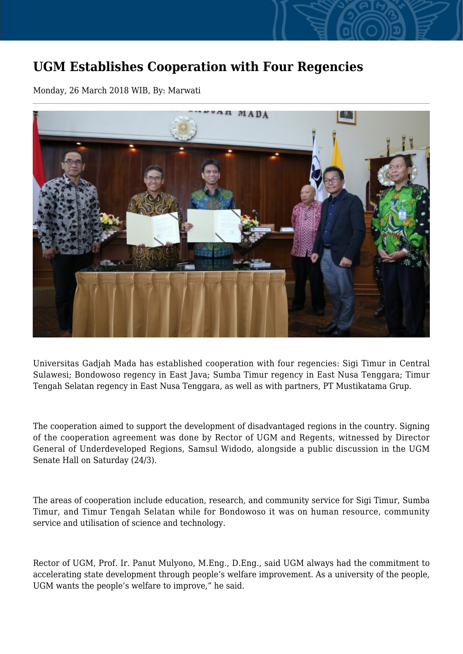## **UGM Establishes Cooperation with Four Regencies**

Monday, 26 March 2018 WIB, By: Marwati



Universitas Gadjah Mada has established cooperation with four regencies: Sigi Timur in Central Sulawesi; Bondowoso regency in East Java; Sumba Timur regency in East Nusa Tenggara; Timur Tengah Selatan regency in East Nusa Tenggara, as well as with partners, PT Mustikatama Grup.

The cooperation aimed to support the development of disadvantaged regions in the country. Signing of the cooperation agreement was done by Rector of UGM and Regents, witnessed by Director General of Underdeveloped Regions, Samsul Widodo, alongside a public discussion in the UGM Senate Hall on Saturday (24/3).

The areas of cooperation include education, research, and community service for Sigi Timur, Sumba Timur, and Timur Tengah Selatan while for Bondowoso it was on human resource, community service and utilisation of science and technology.

Rector of UGM, Prof. Ir. Panut Mulyono, M.Eng., D.Eng., said UGM always had the commitment to accelerating state development through people's welfare improvement. As a university of the people, UGM wants the people's welfare to improve," he said.